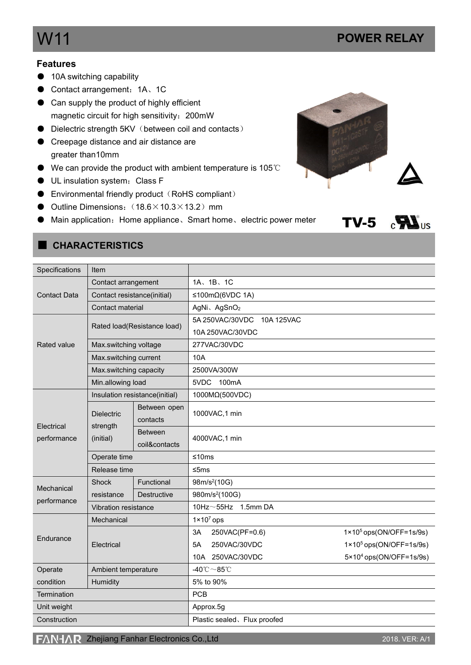# W11 **POWER RELAY**

#### **Features**

- 10A switching capability
- Contact arrangement: 1A、1C
- Can supply the product of highly efficient magnetic circuit for high sensitivity:200mW
- Dielectric strength 5KV (between coil and contacts)
- Creepage distance and air distance are greater than10mm
- We can provide the product with ambient temperature is 105℃
- UL insulation system: Class F
- $\bullet$  Environmental friendly product (RoHS compliant)
- Outline Dimensions:  $(18.6\times10.3\times13.2)$  mm
- Main application: Home appliance、Smart home、electric power meter





#### ■ **CHARACTERISTICS**

| Specifications      | Item                                       |                                 |                                         |                                   |  |  |  |  |
|---------------------|--------------------------------------------|---------------------------------|-----------------------------------------|-----------------------------------|--|--|--|--|
|                     | Contact arrangement                        |                                 | 1A、1B、1C                                |                                   |  |  |  |  |
| <b>Contact Data</b> | Contact resistance(initial)                |                                 | ≤100mΩ(6VDC 1A)                         |                                   |  |  |  |  |
|                     | Contact material                           |                                 | AgNi、AgSnO <sub>2</sub>                 |                                   |  |  |  |  |
|                     | Rated load(Resistance load)                |                                 | 5A 250VAC/30VDC<br>10A 125VAC           |                                   |  |  |  |  |
|                     |                                            |                                 | 10A 250VAC/30VDC                        |                                   |  |  |  |  |
| Rated value         | Max.switching voltage                      |                                 | 277VAC/30VDC                            |                                   |  |  |  |  |
|                     | Max.switching current                      |                                 | 10A                                     |                                   |  |  |  |  |
|                     | Max.switching capacity                     |                                 | 2500VA/300W                             |                                   |  |  |  |  |
|                     | Min.allowing load                          |                                 | 5VDC<br>100mA                           |                                   |  |  |  |  |
|                     | Insulation resistance(initial)             |                                 | 1000MΩ(500VDC)                          |                                   |  |  |  |  |
| Electrical          | <b>Dielectric</b><br>strength<br>(initial) | Between open<br>contacts        | 1000VAC, 1 min                          |                                   |  |  |  |  |
| performance         |                                            | <b>Between</b><br>coil&contacts | 4000VAC, 1 min                          |                                   |  |  |  |  |
|                     | Operate time                               |                                 | ≤10 $ms$                                |                                   |  |  |  |  |
|                     | Release time                               |                                 | ≤5ms                                    |                                   |  |  |  |  |
| Mechanical          | Shock                                      | Functional                      | 98m/s <sup>2</sup> (10G)                |                                   |  |  |  |  |
|                     | resistance                                 | <b>Destructive</b>              | 980m/s <sup>2</sup> (100G)              |                                   |  |  |  |  |
| performance         | Vibration resistance                       |                                 | 10Hz $\sim$ 55Hz 1.5mm DA               |                                   |  |  |  |  |
|                     | Mechanical                                 |                                 | $1 \times 10^7$ ops                     |                                   |  |  |  |  |
| Endurance           |                                            |                                 | 3A<br>250VAC(PF=0.6)                    | $1 \times 10^5$ ops(ON/OFF=1s/9s) |  |  |  |  |
|                     | Electrical                                 |                                 | 250VAC/30VDC<br>5A                      | $1 \times 10^5$ ops(ON/OFF=1s/9s) |  |  |  |  |
|                     |                                            |                                 | 10A 250VAC/30VDC                        | $5 \times 10^4$ ops(ON/OFF=1s/9s) |  |  |  |  |
| Operate             | Ambient temperature                        |                                 | -40 $^{\circ}$ C $\sim$ 85 $^{\circ}$ C |                                   |  |  |  |  |
| condition           | Humidity                                   |                                 | 5% to 90%                               |                                   |  |  |  |  |
| Termination         |                                            |                                 | <b>PCB</b>                              |                                   |  |  |  |  |
| Unit weight         |                                            |                                 | Approx.5g                               |                                   |  |  |  |  |
| Construction        |                                            |                                 | Plastic sealed. Flux proofed            |                                   |  |  |  |  |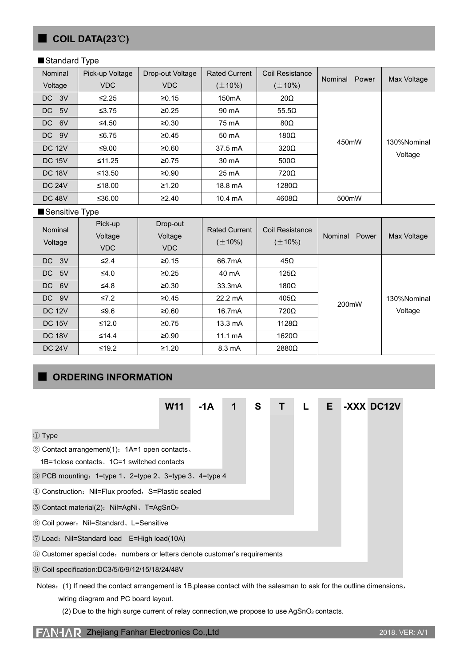## ■ **COIL DATA(23**℃**)**

#### ■Standard Type

| Nominal       | Pick-up Voltage | Drop-out Voltage              | <b>Rated Current</b> | Coil Resistance | Power   |             |
|---------------|-----------------|-------------------------------|----------------------|-----------------|---------|-------------|
| Voltage       | <b>VDC</b>      | <b>VDC</b>                    | $(\pm 10\%)$         | $(\pm 10\%)$    | Nominal | Max Voltage |
| DC 3V         | $\leq$ 2.25     | ≥0.15                         | 150 <sub>m</sub> A   | $20\Omega$      |         |             |
| DC 5V         | ≤ $3.75$        | ≥0.25                         | 90 mA                | $55.5\Omega$    |         |             |
| 6V<br>DC      | ≤4.50           | ≥0.30                         | 75 mA                | $80\Omega$      |         | 130%Nominal |
| DC 9V         | ≤6.75           | ≥0.45                         | 50 mA                | $180\Omega$     | 450mW   |             |
| <b>DC 12V</b> | ≤9.00           | ≥0.60                         | 37.5 mA              | $320\Omega$     |         |             |
| <b>DC 15V</b> | ≤11.25          | $500\Omega$<br>≥0.75<br>30 mA |                      |                 |         | Voltage     |
| <b>DC 18V</b> | ≤13.50          | ≥0.90                         | 25 mA                | 720Ω            |         |             |
| <b>DC 24V</b> | ≤18.00          | ≥1.20                         | 18.8 mA              | $1280\Omega$    |         |             |
| <b>DC 48V</b> | ≤36.00          | ≥2.40                         | $10.4 \text{ mA}$    | $4608\Omega$    | 500mW   |             |

#### ■Sensitive Type

| Nominal<br>Voltage | Pick-up<br>Voltage<br><b>VDC</b> | Drop-out<br>Voltage<br><b>VDC</b> | <b>Rated Current</b><br>$(\pm 10\%)$ | Coil Resistance<br>$(\pm 10\%)$ | Power<br>Nominal | Max Voltage            |
|--------------------|----------------------------------|-----------------------------------|--------------------------------------|---------------------------------|------------------|------------------------|
| DC 3V              | $\leq 2.4$                       | ≥0.15                             | 66.7mA                               | $45\Omega$                      |                  |                        |
| DC 5V              | $\leq 4.0$                       | $\ge 0.25$                        | 40 mA                                | $125\Omega$                     |                  |                        |
| 6V<br>DC           | $≤4.8$                           | ≥0.30                             | 33.3mA                               | $180\Omega$                     |                  | 130%Nominal<br>Voltage |
| DC 9V              | $\leq 7.2$                       | ≥0.45                             | $22.2 \text{ mA}$                    | $405\Omega$                     | 200mW            |                        |
| <b>DC 12V</b>      | ≤ $9.6$                          | ≥0.60                             | 16.7mA                               | $720\Omega$                     |                  |                        |
| <b>DC 15V</b>      | $≤12.0$                          | ≥0.75                             | $13.3 \text{ mA}$                    | 1128 $\Omega$                   |                  |                        |
| <b>DC 18V</b>      | $≤14.4$                          | ≥0.90                             | 11.1 $mA$                            | $1620\Omega$                    |                  |                        |
| <b>DC 24V</b>      | $≤19.2$                          | ≥1.20                             | 8.3 mA                               | $2880\Omega$                    |                  |                        |

## ■ **ORDERING INFORMATION**

|                                                                            | <b>W11</b> | $-1A$ | 1 | S | T. | L | E. |  | -XXX DC12V |
|----------------------------------------------------------------------------|------------|-------|---|---|----|---|----|--|------------|
| ① Type                                                                     |            |       |   |   |    |   |    |  |            |
| 2 Contact arrangement(1): 1A=1 open contacts.                              |            |       |   |   |    |   |    |  |            |
| 1B=1 close contacts, 1C=1 switched contacts                                |            |       |   |   |    |   |    |  |            |
| 3 PCB mounting: 1=type 1, 2=type 2, 3=type 3, 4=type 4                     |            |       |   |   |    |   |    |  |            |
| 4 Construction: Nil=Flux proofed, S=Plastic sealed                         |            |       |   |   |    |   |    |  |            |
| 5 Contact material(2): Nil=AgNi, T=AgSnO <sub>2</sub>                      |            |       |   |   |    |   |    |  |            |
| 6 Coil power: Nil=Standard, L=Sensitive                                    |            |       |   |   |    |   |    |  |            |
| 7 Load: Nil=Standard load E=High load(10A)                                 |            |       |   |   |    |   |    |  |            |
| 8 Customer special code: numbers or letters denote customer's requirements |            |       |   |   |    |   |    |  |            |
| <b>9 Coil specification:DC3/5/6/9/12/15/18/24/48V</b>                      |            |       |   |   |    |   |    |  |            |

- Notes: (1) If need the contact arrangement is 1B,please contact with the salesman to ask for the outline dimensions, wiring diagram and PC board layout.
	- (2) Due to the high surge current of relay connection, we propose to use AgSnO<sub>2</sub> contacts.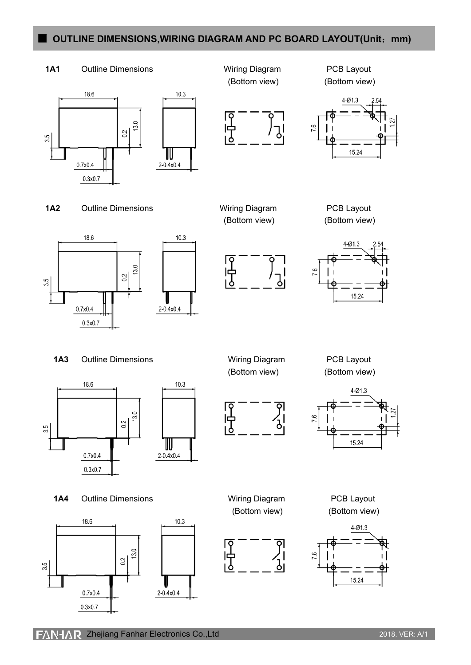### ■ **OUTLINE DIMENSIONS,WIRING DIAGRAM AND PC BOARD LAYOUT(Unit**:**mm)**



 $F\Delta N + \Delta R$  Zhejiang Fanhar Electronics Co.,Ltd 2018. VER: A/1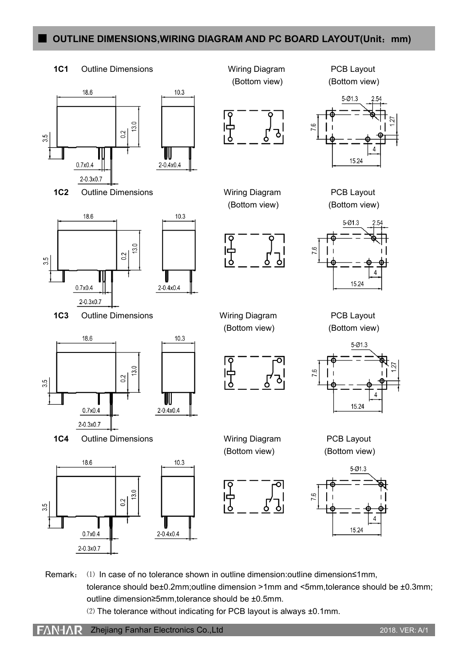## ■ **OUTLINE DIMENSIONS,WIRING DIAGRAM AND PC BOARD LAYOUT(Unit**:**mm)**



Remark: ⑴ In case of no tolerance shown in outline dimension:outline dimension≤1mm, tolerance should be±0.2mm;outline dimension >1mm and <5mm,tolerance should be ±0.3mm; outline dimension≥5mm,tolerance should be ±0.5mm. ⑵ The tolerance without indicating for PCB layout is always ±0.1mm.